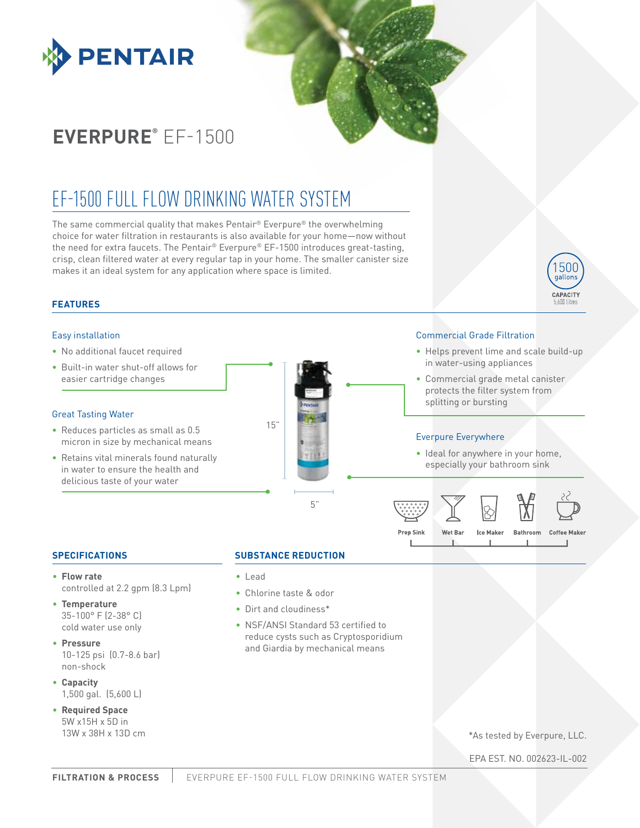

# **EVERPURE®** EF-1500

# EF-1500 FULL FLOW DRINKING WATER SYSTEM

The same commercial quality that makes Pentair® Everpure® the overwhelming choice for water filtration in restaurants is also available for your home—now without the need for extra faucets. The Pentair® Everpure® EF-1500 introduces great-tasting, crisp, clean filtered water at every regular tap in your home. The smaller canister size makes it an ideal system for any application where space is limited.

# **FEATURES**

### Easy installation

- No additional faucet required
- Built-in water shut-off allows for easier cartridge changes

#### Great Tasting Water

- Reduces particles as small as 0.5 micron in size by mechanical means
- Retains vital minerals found naturally in water to ensure the health and delicious taste of your water



#### Commercial Grade Filtration

- Helps prevent lime and scale build-up in water-using appliances
- Commercial grade metal canister protects the filter system from splitting or bursting

## Everpure Everywhere

• Ideal for anywhere in your home, especially your bathroom sink



## **SPECIFICATIONS**

- **Flow rate**  controlled at 2.2 gpm (8.3 Lpm)
- **Temperature**  35-100° F (2-38° C) cold water use only
- **Pressure** 10-125 psi (0.7-8.6 bar) non-shock
- **Capacity** 1,500 gal. (5,600 L)
- **Required Space** 5W x15H x 5D in 13W x 38H x 13D cm

## **SUBSTANCE REDUCTION**

- Lead
- Chlorine taste & odor
- Dirt and cloudiness\*
- NSF/ANSI Standard 53 certified to reduce cysts such as Cryptosporidium and Giardia by mechanical means

\*As tested by Everpure, LLC.

EPA EST. NO. 002623-IL-002

500 gallons CAPACITY 5.600 Litre